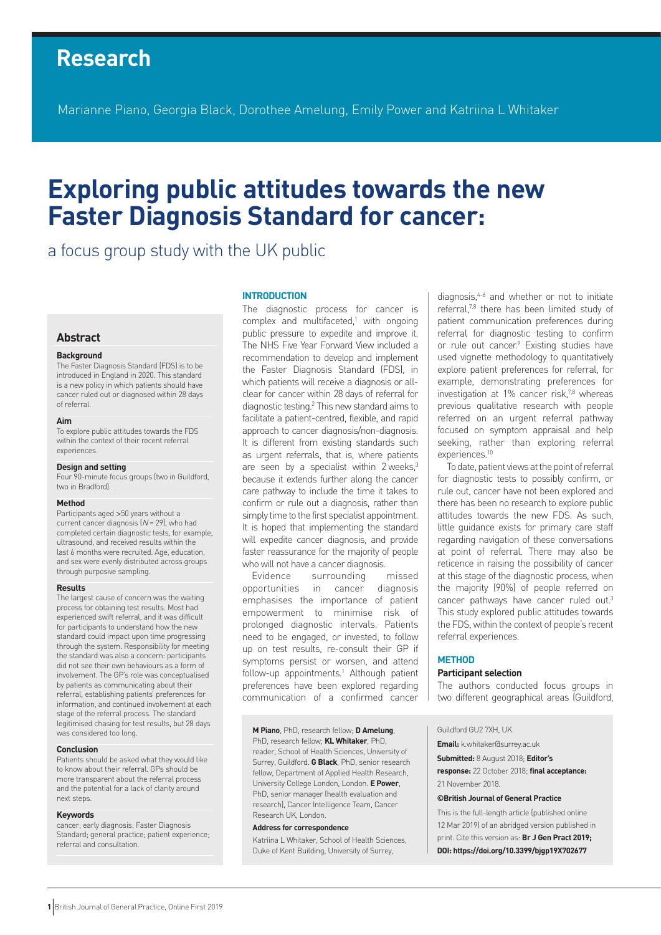# **Research**

Marianne Piano, Georgia Black, Dorothee Amelung, Emily Power and Katriina L Whitaker

# **Exploring public attitudes towards the new Faster Diagnosis Standard for cancer:**

## a focus group study with the UK public

## **Abstract**

#### **Background**

The Faster Diagnosis Standard (FDS) is to be introduced in England in 2020. This standard is a new policy in which patients should have cancer ruled out or diagnosed within 28 days of referral.

#### **Aim**

To explore public attitudes towards the FDS within the context of their recent referral experiences.

#### **Design and setting**

Four 90-minute focus groups (two in Guildford, two in Bradford).

## **Method**

Participants aged >50 years without a current cancer diagnosis  $(N = 29)$ , who had completed certain diagnostic tests, for example, ultrasound, and received results within the last 6 months were recruited. Age, education, and sex were evenly distributed across groups through purposive sampling.

#### **Results**

The largest cause of concern was the waiting process for obtaining test results. Most had experienced swift referral, and it was difficult for participants to understand how the new standard could impact upon time progressing through the system. Responsibility for meeting the standard was also a concern: participants did not see their own behaviours as a form of involvement. The GP's role was conceptualised by patients as communicating about their referral, establishing patients' preferences for information, and continued involvement at each stage of the referral process. The standard legitimised chasing for test results, but 28 days was considered too long.

#### **Conclusion**

Patients should be asked what they would like to know about their referral. GPs should be more transparent about the referral process and the potential for a lack of clarity around next steps.

#### **Keywords**

cancer; early diagnosis; Faster Diagnosis Standard; general practice; patient experience; referral and consultation.

#### **INTRODUCTION**

The diagnostic process for cancer is complex and multifaceted,<sup>1</sup> with ongoing public pressure to expedite and improve it. The NHS Five Year Forward View included a recommendation to develop and implement the Faster Diagnosis Standard (FDS), in which patients will receive a diagnosis or allclear for cancer within 28 days of referral for diagnostic testing.2 This new standard aims to facilitate a patient-centred, flexible, and rapid approach to cancer diagnosis/non-diagnosis. It is different from existing standards such as urgent referrals, that is, where patients are seen by a specialist within 2 weeks,<sup>3</sup> because it extends further along the cancer care pathway to include the time it takes to confirm or rule out a diagnosis, rather than simply time to the first specialist appointment. It is hoped that implementing the standard will expedite cancer diagnosis, and provide faster reassurance for the majority of people who will not have a cancer diagnosis.

Evidence surrounding missed opportunities in cancer diagnosis emphasises the importance of patient empowerment to minimise risk of prolonged diagnostic intervals. Patients need to be engaged, or invested, to follow up on test results, re-consult their GP if symptoms persist or worsen, and attend follow-up appointments.1 Although patient preferences have been explored regarding communication of a confirmed cancer

**M Piano**, PhD, research fellow; **D Amelung**,

PhD, research fellow; **KL Whitaker**, PhD, reader, School of Health Sciences, University of Surrey, Guildford. **G Black**, PhD, senior research fellow, Department of Applied Health Research, University College London, London. **E Power**, PhD, senior manager (health evaluation and research), Cancer Intelligence Team, Cancer Research UK, London.

#### **Address for correspondence**

Katriina L Whitaker, School of Health Sciences, Duke of Kent Building, University of Surrey,

diagnosis,<sup>4-6</sup> and whether or not to initiate referral,7,8 there has been limited study of patient communication preferences during referral for diagnostic testing to confirm or rule out cancer.<sup>9</sup> Existing studies have used vignette methodology to quantitatively explore patient preferences for referral, for example, demonstrating preferences for investigation at 1% cancer risk,<sup>7,8</sup> whereas previous qualitative research with people referred on an urgent referral pathway focused on symptom appraisal and help seeking, rather than exploring referral experiences.<sup>10</sup>

To date, patient views at the point of referral for diagnostic tests to possibly confirm, or rule out, cancer have not been explored and there has been no research to explore public attitudes towards the new FDS. As such, little guidance exists for primary care staff regarding navigation of these conversations at point of referral. There may also be reticence in raising the possibility of cancer at this stage of the diagnostic process, when the majority (90%) of people referred on cancer pathways have cancer ruled out.<sup>3</sup> This study explored public attitudes towards the FDS, within the context of people's recent referral experiences.

#### **METHOD**

### **Participant selection**

The authors conducted focus groups in two different geographical areas (Guildford,

Guildford GU2 7XH, UK.

**Email:** k.whitaker@surrey.ac.uk

**Submitted:** 8 August 2018; **Editor's response:** 22 October 2018; **final acceptance:** 21 November 2018.

#### **©British Journal of General Practice**

This is the full-length article (published online 12 Mar 2019) of an abridged version published in print. Cite this version as: **Br J Gen Pract 2019; DOI: https://doi.org/10.3399/bjgp19X702677**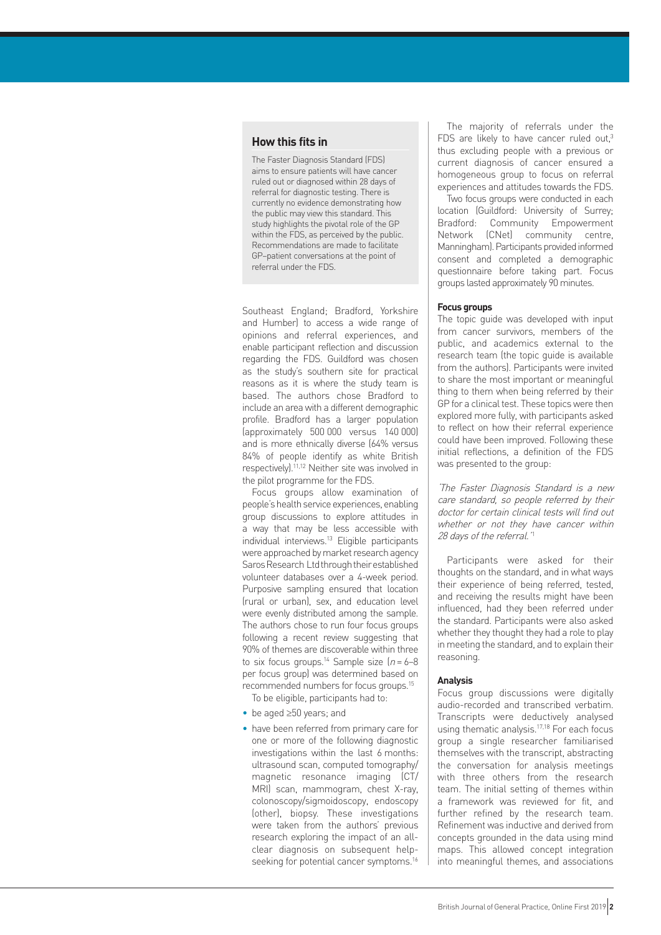## **How this fits in**

The Faster Diagnosis Standard (FDS) aims to ensure patients will have cancer ruled out or diagnosed within 28 days of referral for diagnostic testing. There is currently no evidence demonstrating how the public may view this standard. This study highlights the pivotal role of the GP within the FDS, as perceived by the public. Recommendations are made to facilitate GP–patient conversations at the point of referral under the FDS.

Southeast England; Bradford, Yorkshire and Humber) to access a wide range of opinions and referral experiences, and enable participant reflection and discussion regarding the FDS. Guildford was chosen as the study's southern site for practical reasons as it is where the study team is based. The authors chose Bradford to include an area with a different demographic profile. Bradford has a larger population (approximately 500 000 versus 140 000) and is more ethnically diverse (64% versus 84% of people identify as white British respectively).11,12 Neither site was involved in the pilot programme for the FDS.

Focus groups allow examination of people's health service experiences, enabling group discussions to explore attitudes in a way that may be less accessible with individual interviews.13 Eligible participants were approached by market research agency Saros Research Ltd through their established volunteer databases over a 4-week period. Purposive sampling ensured that location (rural or urban), sex, and education level were evenly distributed among the sample. The authors chose to run four focus groups following a recent review suggesting that 90% of themes are discoverable within three to six focus groups.<sup>14</sup> Sample size  $(n = 6-8)$ per focus group) was determined based on recommended numbers for focus groups.15

To be eligible, participants had to:

- be aged ≥50 years; and
- have been referred from primary care for one or more of the following diagnostic investigations within the last 6 months: ultrasound scan, computed tomography/ magnetic resonance imaging (CT/ MRI) scan, mammogram, chest X-ray, colonoscopy/sigmoidoscopy, endoscopy (other), biopsy. These investigations were taken from the authors' previous research exploring the impact of an allclear diagnosis on subsequent helpseeking for potential cancer symptoms.<sup>16</sup>

The majority of referrals under the FDS are likely to have cancer ruled out, $3$ thus excluding people with a previous or current diagnosis of cancer ensured a homogeneous group to focus on referral experiences and attitudes towards the FDS.

Two focus groups were conducted in each location (Guildford: University of Surrey; Bradford: Community Empowerment Network (CNet) community centre, Manningham). Participants provided informed consent and completed a demographic questionnaire before taking part. Focus groups lasted approximately 90 minutes.

#### **Focus groups**

The topic guide was developed with input from cancer survivors, members of the public, and academics external to the research team (the topic guide is available from the authors). Participants were invited to share the most important or meaningful thing to them when being referred by their GP for a clinical test. These topics were then explored more fully, with participants asked to reflect on how their referral experience could have been improved. Following these initial reflections, a definition of the FDS was presented to the group:

'The Faster Diagnosis Standard is a new care standard, so people referred by their doctor for certain clinical tests will find out whether or not they have cancer within 28 days of the referral.'<sup>1</sup>

Participants were asked for their thoughts on the standard, and in what ways their experience of being referred, tested, and receiving the results might have been influenced, had they been referred under the standard. Participants were also asked whether they thought they had a role to play in meeting the standard, and to explain their reasoning.

## **Analysis**

Focus group discussions were digitally audio-recorded and transcribed verbatim. Transcripts were deductively analysed using thematic analysis.17,18 For each focus group a single researcher familiarised themselves with the transcript, abstracting the conversation for analysis meetings with three others from the research team. The initial setting of themes within a framework was reviewed for fit, and further refined by the research team. Refinement was inductive and derived from concepts grounded in the data using mind maps. This allowed concept integration into meaningful themes, and associations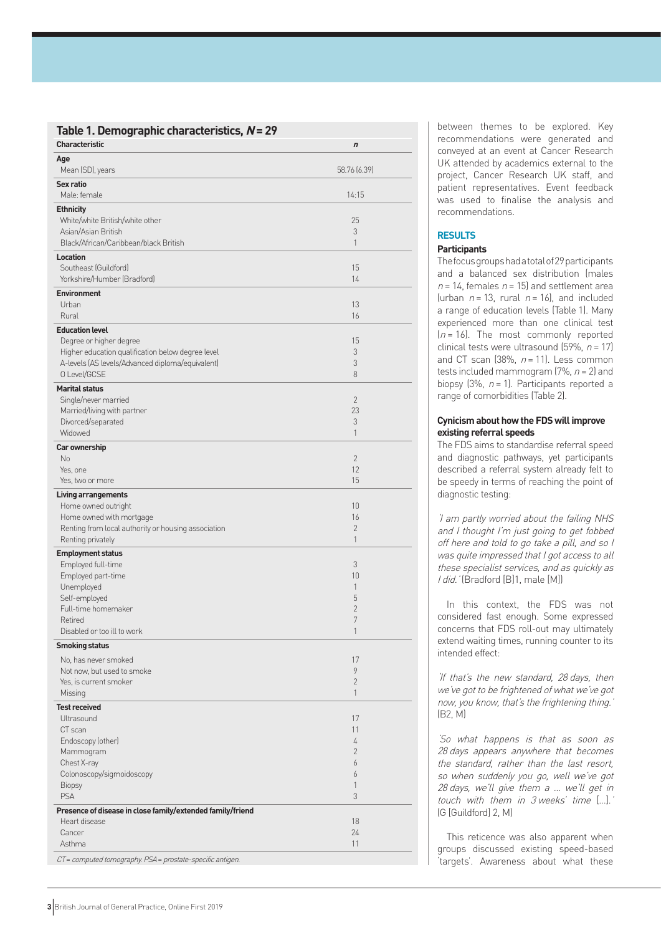## **Table 1. Demographic characteristics, N = 29**

| <b>Characteristic</b>                                                           | $\boldsymbol{n}$     |
|---------------------------------------------------------------------------------|----------------------|
| Age<br>Mean (SD), years                                                         | 58.76 (6.39)         |
| Sex ratio<br>Male: female                                                       | 14:15                |
| <b>Ethnicity</b>                                                                |                      |
| White/white British/white other                                                 | 25                   |
| Asian/Asian British                                                             | 3                    |
| Black/African/Caribbean/black British                                           | 1                    |
| Location<br>Southeast (Guildford)                                               | 15                   |
| Yorkshire/Humber (Bradford)                                                     | 14                   |
| <b>Environment</b>                                                              |                      |
| Urban                                                                           | 13                   |
| Rural                                                                           | 16                   |
| <b>Education level</b>                                                          |                      |
| Degree or higher degree                                                         | 15                   |
| Higher education qualification below degree level                               | 3                    |
| A-levels (AS levels/Advanced diploma/equivalent)                                | 3                    |
| O Level/GCSE                                                                    | 8                    |
| <b>Marital status</b>                                                           |                      |
| Single/never married                                                            | $\overline{2}$<br>23 |
| Married/living with partner<br>Divorced/separated                               | 3                    |
| Widowed                                                                         | $\mathbf{1}$         |
| Car ownership                                                                   |                      |
| No                                                                              | $\overline{2}$       |
| Yes, one                                                                        | 12                   |
| Yes, two or more                                                                | 15                   |
| <b>Living arrangements</b>                                                      |                      |
| Home owned outright                                                             | 10                   |
| Home owned with mortgage<br>Renting from local authority or housing association | 16<br>2              |
| Renting privately                                                               | 1                    |
| <b>Employment status</b>                                                        |                      |
| Employed full-time                                                              | 3                    |
| Employed part-time                                                              | 10                   |
| Unemployed                                                                      | 1                    |
| Self-employed                                                                   | 5                    |
| Full-time homemaker<br>Retired                                                  | $\overline{2}$<br>7  |
| Disabled or too ill to work                                                     | 1                    |
| <b>Smoking status</b>                                                           |                      |
| No, has never smoked                                                            | 17                   |
| Not now, but used to smoke                                                      | 9                    |
| Yes, is current smoker                                                          | $\overline{2}$       |
| Missing                                                                         | 1                    |
| <b>Test received</b>                                                            |                      |
| Ultrasound                                                                      | 17                   |
| CT scan                                                                         | 11                   |
| Endoscopy (other)                                                               | 4                    |
| Mammogram<br>Chest X-ray                                                        | $\overline{2}$<br>6  |
| Colonoscopy/sigmoidoscopy                                                       | 6                    |
| Biopsy                                                                          | 1                    |
| <b>PSA</b>                                                                      | 3                    |
| Presence of disease in close family/extended family/friend                      |                      |
| Heart disease                                                                   | 18                   |
| Cancer                                                                          | 24                   |
| Asthma                                                                          | 11                   |
| CT = computed tomography. PSA = prostate-specific antigen.                      |                      |

between themes to be explored. Key recommendations were generated and conveyed at an event at Cancer Research UK attended by academics external to the project, Cancer Research UK staff, and patient representatives. Event feedback was used to finalise the analysis and recommendations.

## **RESULTS**

## **Participants**

The focus groups had a total of 29 participants and a balanced sex distribution (males  $n = 14$ , females  $n = 15$ ) and settlement area (urban  $n = 13$ , rural  $n = 16$ ), and included a range of education levels (Table 1). Many experienced more than one clinical test  $(n = 16)$ . The most commonly reported clinical tests were ultrasound (59%,  $n = 17$ ) and CT scan  $(38\%, n = 11)$ . Less common tests included mammogram (7%,  $n = 2$ ) and biopsy  $(3\%, n=1)$ . Participants reported a range of comorbidities (Table 2).

## **Cynicism about how the FDS will improve existing referral speeds**

The FDS aims to standardise referral speed and diagnostic pathways, yet participants described a referral system already felt to be speedy in terms of reaching the point of diagnostic testing:

'I am partly worried about the failing NHS and I thought I'm just going to get fobbed off here and told to go take a pill, and so I was quite impressed that I got access to all these specialist services, and as quickly as I did.' (Bradford [B]1, male [M])

In this context, the FDS was not considered fast enough. Some expressed concerns that FDS roll-out may ultimately extend waiting times, running counter to its intended effect:

'If that's the new standard, 28 days, then we've got to be frightened of what we've got now, you know, that's the frightening thing.' (B2, M)

'So what happens is that as soon as 28 days appears anywhere that becomes the standard, rather than the last resort, so when suddenly you go, well we've got 28 days, we'll give them a … we'll get in touch with them in 3 weeks' time […]. ' (G [Guildford] 2, M )

This reticence was also apparent when groups discussed existing speed-based 'targets'. Awareness about what these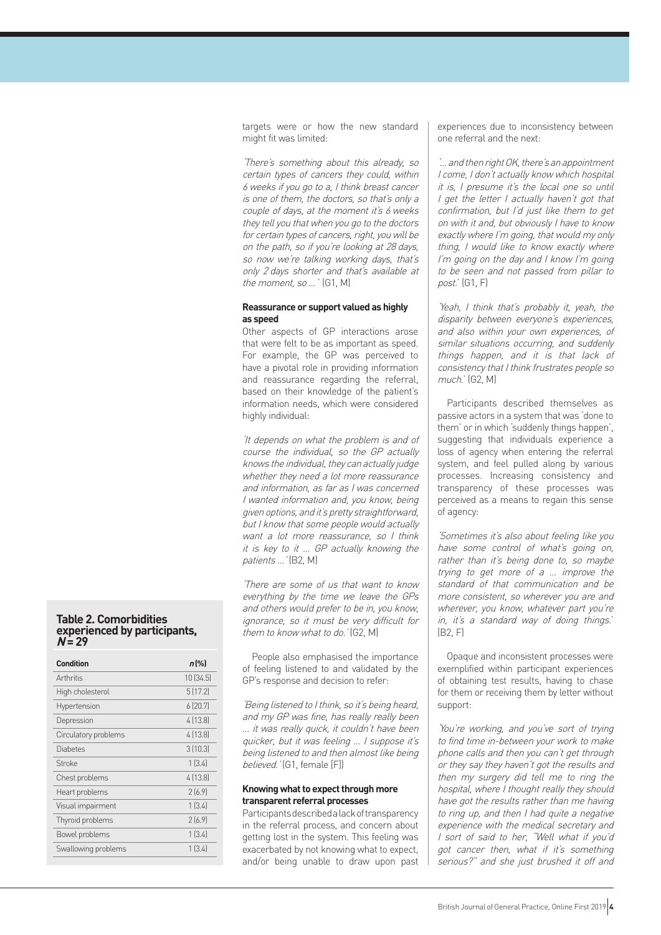targets were or how the new standard might fit was limited:

'There's something about this already, so certain types of cancers they could, within 6 weeks if you go to a, I think breast cancer is one of them, the doctors, so that's only a couple of days, at the moment it's 6 weeks they tell you that when you go to the doctors for certain types of cancers, right, you will be on the path, so if you're looking at 28 days, so now we're talking working days, that's only 2 days shorter and that's available at the moment, so … ' (G1, M)

## **Reassurance or support valued as highly as speed**

Other aspects of GP interactions arose that were felt to be as important as speed. For example, the GP was perceived to have a pivotal role in providing information and reassurance regarding the referral, based on their knowledge of the patient's information needs, which were considered highly individual:

'It depends on what the problem is and of course the individual, so the GP actually knows the individual, they can actually judge whether they need a lot more reassurance and information, as far as I was concerned I wanted information and, you know, being given options, and it's pretty straightforward, but I know that some people would actually want a lot more reassurance, so I think it is key to it … GP actually knowing the patients ... '(B2, M)

'There are some of us that want to know everything by the time we leave the GPs and others would prefer to be in, you know, ignorance, so it must be very difficult for them to know what to do.' (G2, M)

People also emphasised the importance of feeling listened to and validated by the GP's response and decision to refer:

'Being listened to I think, so it's being heard, and my GP was fine, has really really been … it was really quick, it couldn't have been quicker, but it was feeling … I suppose it's being listened to and then almost like being believed.' (G1, female [F])

## **Knowing what to expect through more transparent referral processes**

Participants described a lack of transparency in the referral process, and concern about getting lost in the system. This feeling was exacerbated by not knowing what to expect, and/or being unable to draw upon past experiences due to inconsistency between one referral and the next:

'… and then right OK, there's an appointment I come, I don't actually know which hospital it is, I presume it's the local one so until I get the letter I actually haven't got that confirmation, but I'd just like them to get on with it and, but obviously I have to know exactly where I'm going, that would my only thing, I would like to know exactly where I'm going on the day and I know I'm going to be seen and not passed from pillar to post.' (G1, F)

'Yeah, I think that's probably it, yeah, the disparity between everyone's experiences, and also within your own experiences, of similar situations occurring, and suddenly things happen, and it is that lack of consistency that I think frustrates people so much.' (G2, M)

Participants described themselves as passive actors in a system that was 'done to them' or in which 'suddenly things happen', suggesting that individuals experience a loss of agency when entering the referral system, and feel pulled along by various processes. Increasing consistency and transparency of these processes was perceived as a means to regain this sense of agency:

'Sometimes it's also about feeling like you have some control of what's going on, rather than it's being done to, so maybe trying to get more of a … improve the standard of that communication and be more consistent, so wherever you are and wherever, you know, whatever part you're in, it's a standard way of doing things.' (B2, F)

Opaque and inconsistent processes were exemplified within participant experiences of obtaining test results, having to chase for them or receiving them by letter without support:

'You're working, and you've sort of trying to find time in-between your work to make phone calls and then you can't get through or they say they haven't got the results and then my surgery did tell me to ring the hospital, where I thought really they should have got the results rather than me having to ring up, and then I had quite a negative experience with the medical secretary and I sort of said to her, "Well what if you'd got cancer then, what if it's something serious?" and she just brushed it off and

## **Table 2. Comorbidities experienced by participants,**   $N = 29$

| <b>Condition</b>     | $n$ [%]  |
|----------------------|----------|
| Arthritis            | 10(34.5) |
| High cholesterol     | 5(17.2)  |
| Hypertension         | 6(20.7)  |
| Depression           | 4 (13.8) |
| Circulatory problems | 4[13.8]  |
| Diabetes             | 3(10.3)  |
| Stroke               | 1(3.4)   |
| Chest problems       | 4[13.8]  |
| Heart problems       | 2(6.9)   |
| Visual impairment    | 1(3.4)   |
| Thyroid problems     | 2(6.9)   |
| Bowel problems       | 1(3.4)   |
| Swallowing problems  | 1(3.4)   |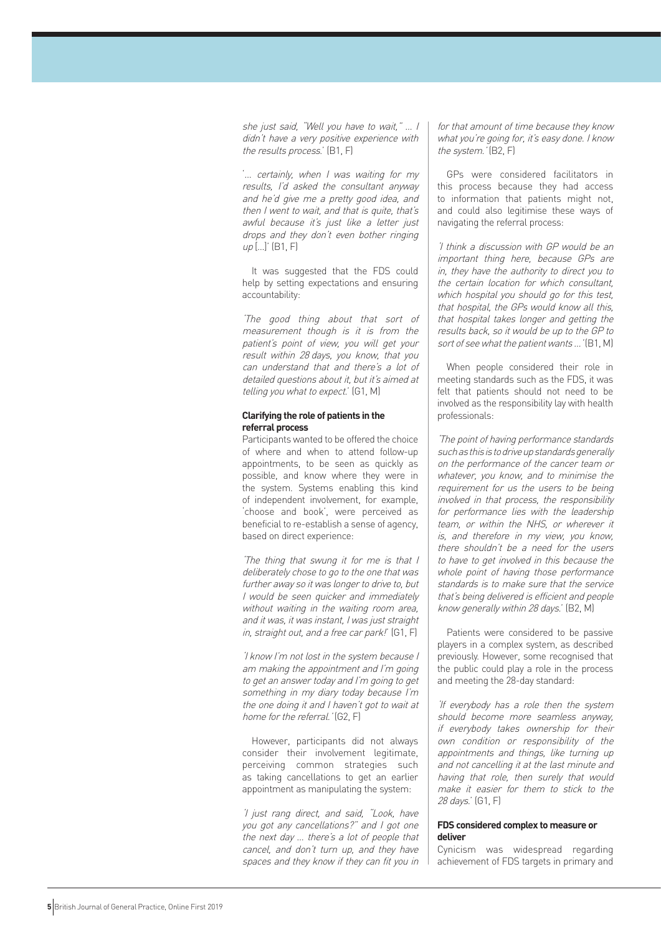she just said, "Well you have to wait," … I didn't have a very positive experience with the results process.' (B1, F)

'… certainly, when I was waiting for my results, I'd asked the consultant anyway and he'd give me a pretty good idea, and then I went to wait, and that is quite, that's awful because it's just like a letter just drops and they don't even bother ringing  $up$  [...]' (B1, F)

It was suggested that the FDS could help by setting expectations and ensuring accountability:

'The good thing about that sort of measurement though is it is from the patient's point of view, you will get your result within 28 days, you know, that you can understand that and there's a lot of detailed questions about it, but it's aimed at telling you what to expect.' (G1, M)

## **Clarifying the role of patients in the referral process**

Participants wanted to be offered the choice of where and when to attend follow-up appointments, to be seen as quickly as possible, and know where they were in the system. Systems enabling this kind of independent involvement, for example, 'choose and book', were perceived as beneficial to re-establish a sense of agency, based on direct experience:

'The thing that swung it for me is that I deliberately chose to go to the one that was further away so it was longer to drive to, but I would be seen quicker and immediately without waiting in the waiting room area, and it was, it was instant, I was just straight in, straight out, and a free car park!' (G1, F)

'I know I'm not lost in the system because I am making the appointment and I'm going to get an answer today and I'm going to get something in my diary today because I'm the one doing it and I haven't got to wait at home for the referral.' (G2, F)

However, participants did not always consider their involvement legitimate, perceiving common strategies such as taking cancellations to get an earlier appointment as manipulating the system:

'I just rang direct, and said, "Look, have you got any cancellations?" and I got one the next day … there's a lot of people that cancel, and don't turn up, and they have spaces and they know if they can fit you in for that amount of time because they know what you're going for, it's easy done. I know the system.' (B2, F)

GPs were considered facilitators in this process because they had access to information that patients might not, and could also legitimise these ways of navigating the referral process:

'I think a discussion with GP would be an important thing here, because GPs are in, they have the authority to direct you to the certain location for which consultant, which hospital you should go for this test, that hospital, the GPs would know all this, that hospital takes longer and getting the results back, so it would be up to the GP to sort of see what the patient wants ... '(B1, M)

When people considered their role in meeting standards such as the FDS, it was felt that patients should not need to be involved as the responsibility lay with health professionals:

'The point of having performance standards such as this is to drive up standards generally on the performance of the cancer team or whatever, you know, and to minimise the requirement for us the users to be being involved in that process, the responsibility for performance lies with the leadership team, or within the NHS, or wherever it is, and therefore in my view, you know, there shouldn't be a need for the users to have to get involved in this because the whole point of having those performance standards is to make sure that the service that's being delivered is efficient and people know generally within 28 days.' (B2, M)

Patients were considered to be passive players in a complex system, as described previously. However, some recognised that the public could play a role in the process and meeting the 28-day standard:

'If everybody has a role then the system should become more seamless anyway, if everybody takes ownership for their own condition or responsibility of the appointments and things, like turning up and not cancelling it at the last minute and having that role, then surely that would make it easier for them to stick to the 28 days.' (G1, F)

## **FDS considered complex to measure or deliver**

Cynicism was widespread regarding achievement of FDS targets in primary and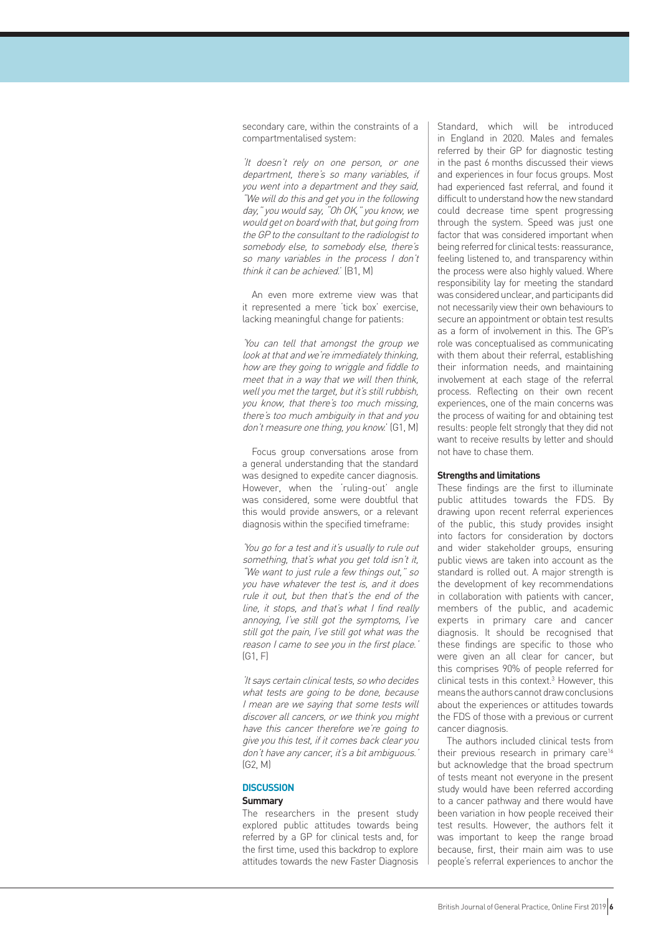secondary care, within the constraints of a compartmentalised system:

'It doesn't rely on one person, or one department, there's so many variables, if you went into a department and they said, "We will do this and get you in the following day," you would say, "Oh OK," you know, we would get on board with that, but going from the GP to the consultant to the radiologist to somebody else, to somebody else, there's so many variables in the process I don't think it can be achieved.' (B1, M)

An even more extreme view was that it represented a mere 'tick box' exercise, lacking meaningful change for patients:

'You can tell that amongst the group we look at that and we're immediately thinking, how are they going to wriggle and fiddle to meet that in a way that we will then think, well you met the target, but it's still rubbish, you know, that there's too much missing, there's too much ambiguity in that and you don't measure one thing, you know.' (G1, M)

Focus group conversations arose from a general understanding that the standard was designed to expedite cancer diagnosis. However, when the 'ruling-out' angle was considered, some were doubtful that this would provide answers, or a relevant diagnosis within the specified timeframe:

'You go for a test and it's usually to rule out something, that's what you get told isn't it, "We want to just rule a few things out," so you have whatever the test is, and it does rule it out, but then that's the end of the line, it stops, and that's what I find really annoying, I've still got the symptoms, I've still got the pain, I've still got what was the reason I came to see you in the first place. (G1, F)

'It says certain clinical tests, so who decides what tests are going to be done, because I mean are we saying that some tests will discover all cancers, or we think you might have this cancer therefore we're going to give you this test, if it comes back clear you don't have any cancer, it's a bit ambiguous.' (G2, M)

## **DISCUSSION**

## **Summary**

The researchers in the present study explored public attitudes towards being referred by a GP for clinical tests and, for the first time, used this backdrop to explore attitudes towards the new Faster Diagnosis

Standard, which will be introduced in England in 2020. Males and females referred by their GP for diagnostic testing in the past 6 months discussed their views and experiences in four focus groups. Most had experienced fast referral, and found it difficult to understand how the new standard could decrease time spent progressing through the system. Speed was just one factor that was considered important when being referred for clinical tests: reassurance, feeling listened to, and transparency within the process were also highly valued. Where responsibility lay for meeting the standard was considered unclear, and participants did not necessarily view their own behaviours to secure an appointment or obtain test results as a form of involvement in this. The GP's role was conceptualised as communicating with them about their referral, establishing their information needs, and maintaining involvement at each stage of the referral process. Reflecting on their own recent experiences, one of the main concerns was the process of waiting for and obtaining test results: people felt strongly that they did not want to receive results by letter and should not have to chase them.

#### **Strengths and limitations**

These findings are the first to illuminate public attitudes towards the FDS. By drawing upon recent referral experiences of the public, this study provides insight into factors for consideration by doctors and wider stakeholder groups, ensuring public views are taken into account as the standard is rolled out. A major strength is the development of key recommendations in collaboration with patients with cancer, members of the public, and academic experts in primary care and cancer diagnosis. It should be recognised that these findings are specific to those who were given an all clear for cancer, but this comprises 90% of people referred for clinical tests in this context.<sup>3</sup> However, this means the authors cannot draw conclusions about the experiences or attitudes towards the FDS of those with a previous or current cancer diagnosis.

The authors included clinical tests from their previous research in primary care<sup>16</sup> but acknowledge that the broad spectrum of tests meant not everyone in the present study would have been referred according to a cancer pathway and there would have been variation in how people received their test results. However, the authors felt it was important to keep the range broad because, first, their main aim was to use people's referral experiences to anchor the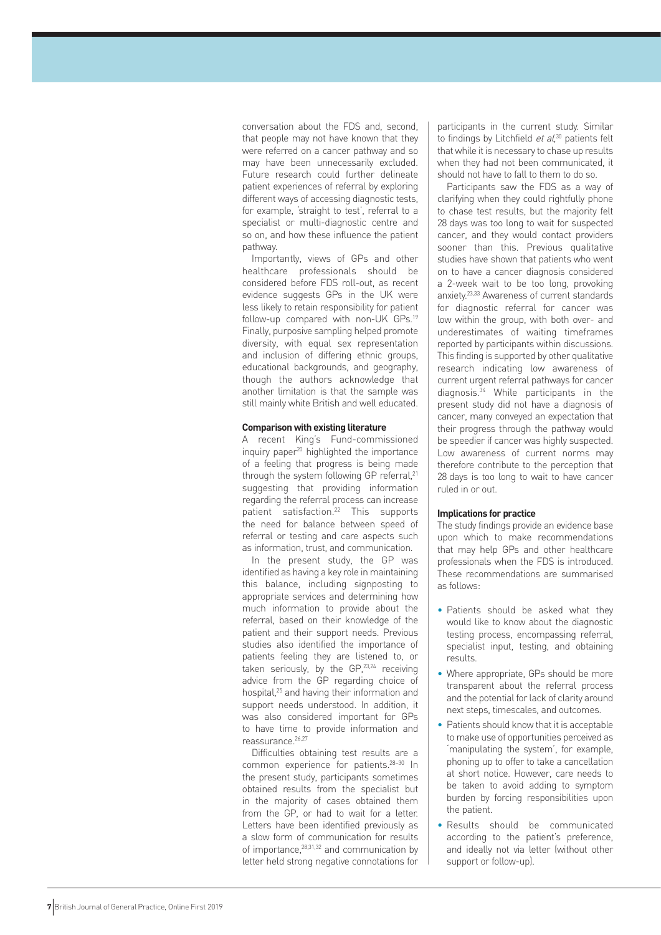conversation about the FDS and, second, that people may not have known that they were referred on a cancer pathway and so may have been unnecessarily excluded. Future research could further delineate patient experiences of referral by exploring different ways of accessing diagnostic tests, for example, 'straight to test', referral to a specialist or multi-diagnostic centre and so on, and how these influence the patient pathway.

Importantly, views of GPs and other healthcare professionals should be considered before FDS roll-out, as recent evidence suggests GPs in the UK were less likely to retain responsibility for patient follow-up compared with non-UK GPs.19 Finally, purposive sampling helped promote diversity, with equal sex representation and inclusion of differing ethnic groups, educational backgrounds, and geography, though the authors acknowledge that another limitation is that the sample was still mainly white British and well educated.

## **Comparison with existing literature**

A recent King's Fund-commissioned inquiry paper<sup>20</sup> highlighted the importance of a feeling that progress is being made through the system following GP referral,<sup>21</sup> suggesting that providing information regarding the referral process can increase patient satisfaction.22 This supports the need for balance between speed of referral or testing and care aspects such as information, trust, and communication.

In the present study, the GP was identified as having a key role in maintaining this balance, including signposting to appropriate services and determining how much information to provide about the referral, based on their knowledge of the patient and their support needs. Previous studies also identified the importance of patients feeling they are listened to, or taken seriously, by the GP,<sup>23,24</sup> receiving advice from the GP regarding choice of hospital,25 and having their information and support needs understood. In addition, it was also considered important for GPs to have time to provide information and reassurance.<sup>26,27</sup>

Difficulties obtaining test results are a common experience for patients.28–30 In the present study, participants sometimes obtained results from the specialist but in the majority of cases obtained them from the GP, or had to wait for a letter. Letters have been identified previously as a slow form of communication for results of importance,28,31,32 and communication by letter held strong negative connotations for participants in the current study. Similar to findings by Litchfield et al,<sup>30</sup> patients felt that while it is necessary to chase up results when they had not been communicated, it should not have to fall to them to do so.

Participants saw the FDS as a way of clarifying when they could rightfully phone to chase test results, but the majority felt 28 days was too long to wait for suspected cancer, and they would contact providers sooner than this. Previous qualitative studies have shown that patients who went on to have a cancer diagnosis considered a 2-week wait to be too long, provoking anxiety.23,33 Awareness of current standards for diagnostic referral for cancer was low within the group, with both over- and underestimates of waiting timeframes reported by participants within discussions. This finding is supported by other qualitative research indicating low awareness of current urgent referral pathways for cancer diagnosis.34 While participants in the present study did not have a diagnosis of cancer, many conveyed an expectation that their progress through the pathway would be speedier if cancer was highly suspected. Low awareness of current norms may therefore contribute to the perception that 28 days is too long to wait to have cancer ruled in or out.

### **Implications for practice**

The study findings provide an evidence base upon which to make recommendations that may help GPs and other healthcare professionals when the FDS is introduced. These recommendations are summarised as follows:

- Patients should be asked what they would like to know about the diagnostic testing process, encompassing referral, specialist input, testing, and obtaining results.
- Where appropriate, GPs should be more transparent about the referral process and the potential for lack of clarity around next steps, timescales, and outcomes.
- Patients should know that it is acceptable to make use of opportunities perceived as 'manipulating the system', for example, phoning up to offer to take a cancellation at short notice. However, care needs to be taken to avoid adding to symptom burden by forcing responsibilities upon the patient.
- Results should be communicated according to the patient's preference, and ideally not via letter (without other support or follow-up).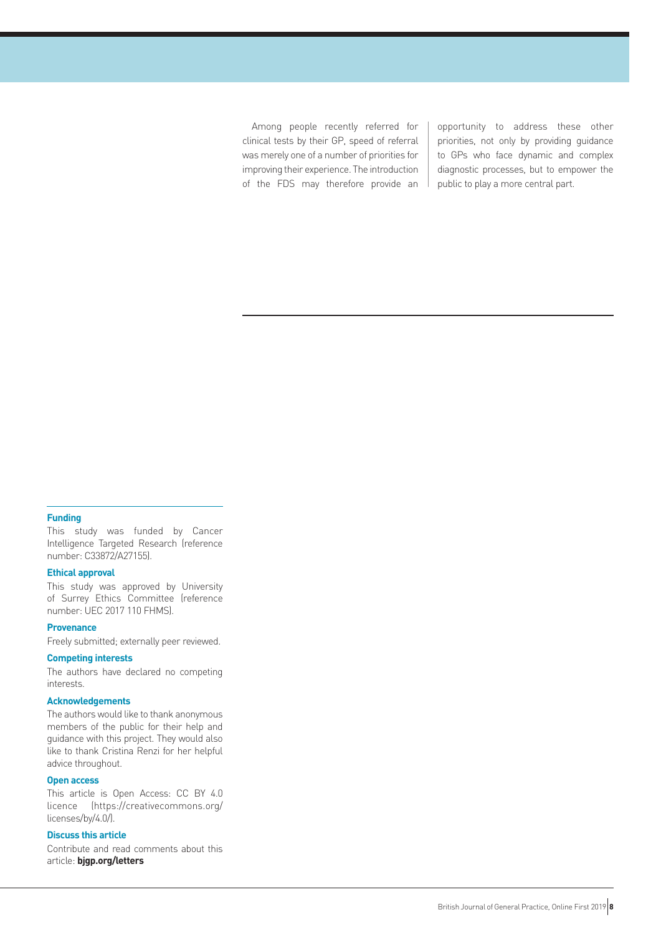Among people recently referred for clinical tests by their GP, speed of referral was merely one of a number of priorities for improving their experience. The introduction of the FDS may therefore provide an opportunity to address these other priorities, not only by providing guidance to GPs who face dynamic and complex diagnostic processes, but to empower the public to play a more central part.

## **Funding**

This study was funded by Cancer Intelligence Targeted Research (reference number: C33872/A27155).

#### **Ethical approval**

This study was approved by University of Surrey Ethics Committee (reference number: UEC 2017 110 FHMS).

## **Provenance**

Freely submitted; externally peer reviewed.

## **Competing interests**

The authors have declared no competing interests.

## **Acknowledgements**

The authors would like to thank anonymous members of the public for their help and guidance with this project. They would also like to thank Cristina Renzi for her helpful advice throughout.

## **Open access**

This article is Open Access: CC BY 4.0 licence (https://creativecommons.org/ licenses/by/4.0/).

## **Discuss this article**

Contribute and read comments about this article: **bjgp.org/letters**